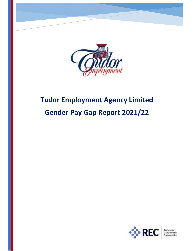

# Tudor Employment Agency Limited Gender Pay Gap Report 2021/22



& Employment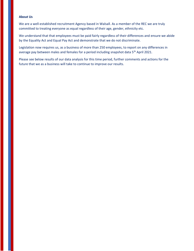### About Us

We are a well-established recruitment Agency based in Walsall. As a member of the REC we are truly committed to treating everyone as equal regardless of their age, gender, ethnicity etc.

We understand that that employees must be paid fairly regardless of their differences and ensure we abide by the Equality Act and Equal Pay Act and demonstrate that we do not discriminate.

Legislation now requires us, as a business of more than 250 employees, to report on any differences in average pay between males and females for a period including snapshot data 5<sup>th</sup> April 2021.

Please see below results of our data analysis for this time period, further comments and actions for the future that we as a business will take to continue to improve our results.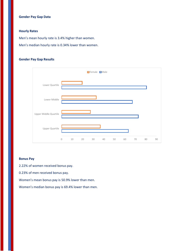## Gender Pay Gap Data

## Hourly Rates

Men's mean hourly rate is 3.4% higher than women.

Men's median hourly rate is 0.34% lower than women.

## Gender Pay Gap Results



## Bonus Pay

2.22% of women received bonus pay.

0.23% of men received bonus pay.

Women's mean bonus pay is 50.9% lower than men.

Women's median bonus pay is 69.4% lower than men.